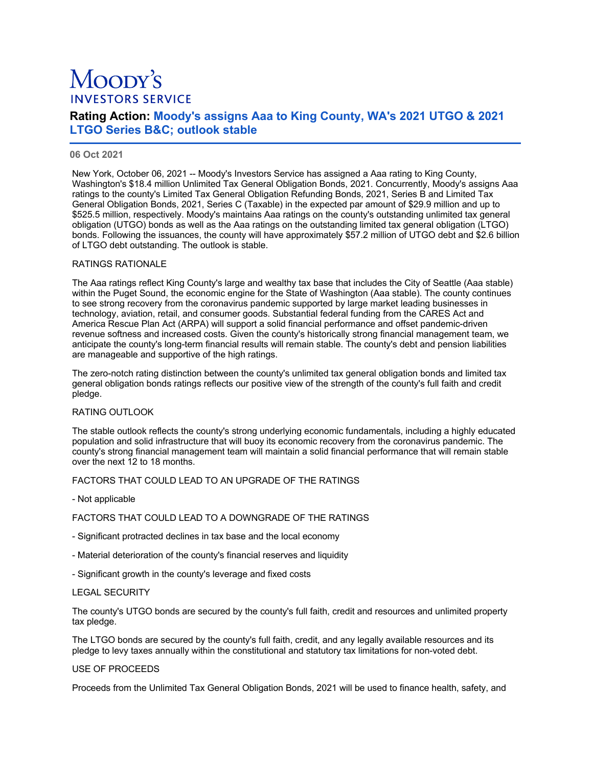# Moopy's **INVESTORS SERVICE**

# **Rating Action: Moody's assigns Aaa to King County, WA's 2021 UTGO & 2021 LTGO Series B&C; outlook stable**

# **06 Oct 2021**

New York, October 06, 2021 -- Moody's Investors Service has assigned a Aaa rating to King County, Washington's \$18.4 million Unlimited Tax General Obligation Bonds, 2021. Concurrently, Moody's assigns Aaa ratings to the county's Limited Tax General Obligation Refunding Bonds, 2021, Series B and Limited Tax General Obligation Bonds, 2021, Series C (Taxable) in the expected par amount of \$29.9 million and up to \$525.5 million, respectively. Moody's maintains Aaa ratings on the county's outstanding unlimited tax general obligation (UTGO) bonds as well as the Aaa ratings on the outstanding limited tax general obligation (LTGO) bonds. Following the issuances, the county will have approximately \$57.2 million of UTGO debt and \$2.6 billion of LTGO debt outstanding. The outlook is stable.

## RATINGS RATIONALE

The Aaa ratings reflect King County's large and wealthy tax base that includes the City of Seattle (Aaa stable) within the Puget Sound, the economic engine for the State of Washington (Aaa stable). The county continues to see strong recovery from the coronavirus pandemic supported by large market leading businesses in technology, aviation, retail, and consumer goods. Substantial federal funding from the CARES Act and America Rescue Plan Act (ARPA) will support a solid financial performance and offset pandemic-driven revenue softness and increased costs. Given the county's historically strong financial management team, we anticipate the county's long-term financial results will remain stable. The county's debt and pension liabilities are manageable and supportive of the high ratings.

The zero-notch rating distinction between the county's unlimited tax general obligation bonds and limited tax general obligation bonds ratings reflects our positive view of the strength of the county's full faith and credit pledge.

# RATING OUTLOOK

The stable outlook reflects the county's strong underlying economic fundamentals, including a highly educated population and solid infrastructure that will buoy its economic recovery from the coronavirus pandemic. The county's strong financial management team will maintain a solid financial performance that will remain stable over the next 12 to 18 months.

#### FACTORS THAT COULD LEAD TO AN UPGRADE OF THE RATINGS

- Not applicable

FACTORS THAT COULD LEAD TO A DOWNGRADE OF THE RATINGS

- Significant protracted declines in tax base and the local economy
- Material deterioration of the county's financial reserves and liquidity
- Significant growth in the county's leverage and fixed costs

#### LEGAL SECURITY

The county's UTGO bonds are secured by the county's full faith, credit and resources and unlimited property tax pledge.

The LTGO bonds are secured by the county's full faith, credit, and any legally available resources and its pledge to levy taxes annually within the constitutional and statutory tax limitations for non-voted debt.

#### USE OF PROCEEDS

Proceeds from the Unlimited Tax General Obligation Bonds, 2021 will be used to finance health, safety, and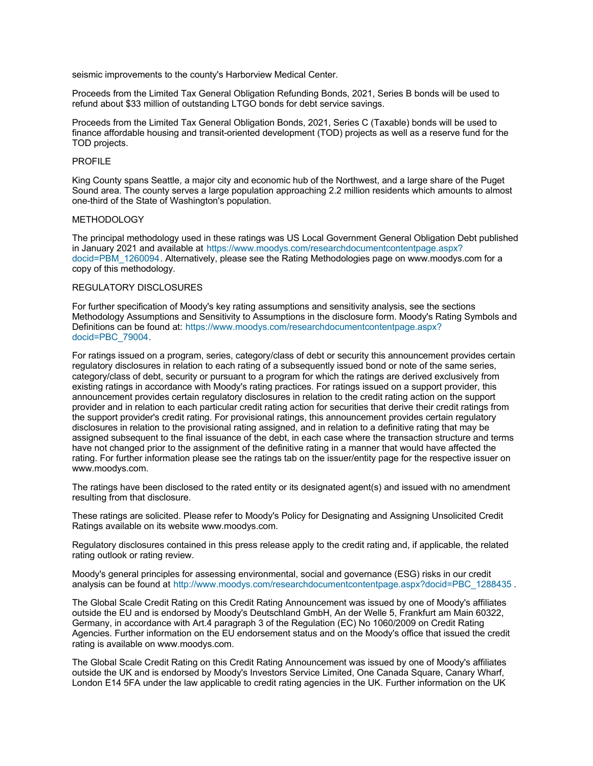seismic improvements to the county's Harborview Medical Center.

Proceeds from the Limited Tax General Obligation Refunding Bonds, 2021, Series B bonds will be used to refund about \$33 million of outstanding LTGO bonds for debt service savings.

Proceeds from the Limited Tax General Obligation Bonds, 2021, Series C (Taxable) bonds will be used to finance affordable housing and transit-oriented development (TOD) projects as well as a reserve fund for the TOD projects.

#### PROFILE

King County spans Seattle, a major city and economic hub of the Northwest, and a large share of the Puget Sound area. The county serves a large population approaching 2.2 million residents which amounts to almost one-third of the State of Washington's population.

#### METHODOLOGY

The principal methodology used in these ratings was US Local Government General Obligation Debt published [in January 2021 and available at https://www.moodys.com/researchdocumentcontentpage.aspx?](https://www.moodys.com/researchdocumentcontentpage.aspx?docid=PBM_1260094) docid=PBM\_1260094. Alternatively, please see the Rating Methodologies page on www.moodys.com for a copy of this methodology.

#### REGULATORY DISCLOSURES

For further specification of Moody's key rating assumptions and sensitivity analysis, see the sections Methodology Assumptions and Sensitivity to Assumptions in the disclosure form. Moody's Rating Symbols and [Definitions can be found at: https://www.moodys.com/researchdocumentcontentpage.aspx?](https://www.moodys.com/researchdocumentcontentpage.aspx?docid=PBC_79004) docid=PBC\_79004.

For ratings issued on a program, series, category/class of debt or security this announcement provides certain regulatory disclosures in relation to each rating of a subsequently issued bond or note of the same series, category/class of debt, security or pursuant to a program for which the ratings are derived exclusively from existing ratings in accordance with Moody's rating practices. For ratings issued on a support provider, this announcement provides certain regulatory disclosures in relation to the credit rating action on the support provider and in relation to each particular credit rating action for securities that derive their credit ratings from the support provider's credit rating. For provisional ratings, this announcement provides certain regulatory disclosures in relation to the provisional rating assigned, and in relation to a definitive rating that may be assigned subsequent to the final issuance of the debt, in each case where the transaction structure and terms have not changed prior to the assignment of the definitive rating in a manner that would have affected the rating. For further information please see the ratings tab on the issuer/entity page for the respective issuer on www.moodys.com.

The ratings have been disclosed to the rated entity or its designated agent(s) and issued with no amendment resulting from that disclosure.

These ratings are solicited. Please refer to Moody's Policy for Designating and Assigning Unsolicited Credit Ratings available on its website www.moodys.com.

Regulatory disclosures contained in this press release apply to the credit rating and, if applicable, the related rating outlook or rating review.

Moody's general principles for assessing environmental, social and governance (ESG) risks in our credit analysis can be found at http://www.moodys.com/researchdocumentcontentpage.aspx?docid=PBC 1288435 .

The Global Scale Credit Rating on this Credit Rating Announcement was issued by one of Moody's affiliates outside the EU and is endorsed by Moody's Deutschland GmbH, An der Welle 5, Frankfurt am Main 60322, Germany, in accordance with Art.4 paragraph 3 of the Regulation (EC) No 1060/2009 on Credit Rating Agencies. Further information on the EU endorsement status and on the Moody's office that issued the credit rating is available on www.moodys.com.

The Global Scale Credit Rating on this Credit Rating Announcement was issued by one of Moody's affiliates outside the UK and is endorsed by Moody's Investors Service Limited, One Canada Square, Canary Wharf, London E14 5FA under the law applicable to credit rating agencies in the UK. Further information on the UK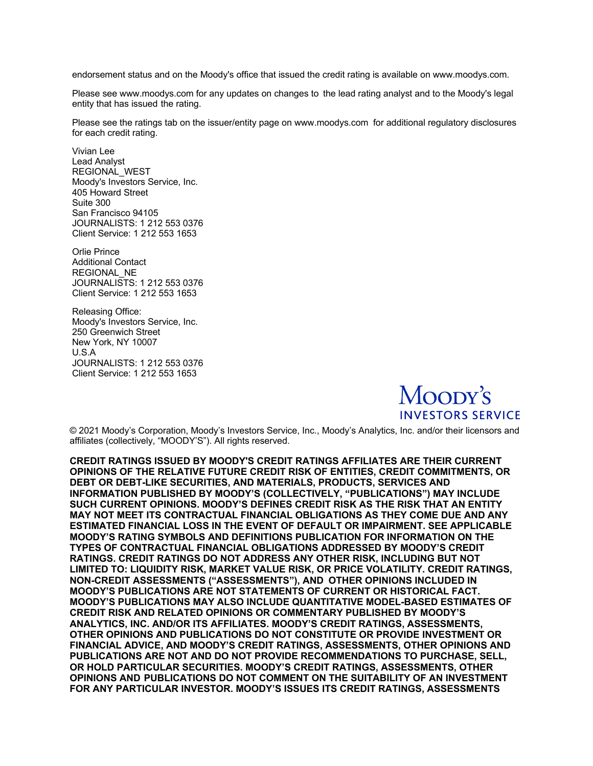endorsement status and on the Moody's office that issued the credit rating is available on www.moodys.com.

Please see www.moodys.com for any updates on changes to the lead rating analyst and to the Moody's legal entity that has issued the rating.

Please see the ratings tab on the issuer/entity page on www.moodys.com for additional regulatory disclosures for each credit rating.

Vivian Lee Lead Analyst REGIONAL\_WEST Moody's Investors Service, Inc. 405 Howard Street Suite 300 San Francisco 94105 JOURNALISTS: 1 212 553 0376 Client Service: 1 212 553 1653

Orlie Prince Additional Contact REGIONAL\_NE JOURNALISTS: 1 212 553 0376 Client Service: 1 212 553 1653

Releasing Office: Moody's Investors Service, Inc. 250 Greenwich Street New York, NY 10007 U.S.A JOURNALISTS: 1 212 553 0376 Client Service: 1 212 553 1653



© 2021 Moody's Corporation, Moody's Investors Service, Inc., Moody's Analytics, Inc. and/or their licensors and affiliates (collectively, "MOODY'S"). All rights reserved.

**CREDIT RATINGS ISSUED BY MOODY'S CREDIT RATINGS AFFILIATES ARE THEIR CURRENT OPINIONS OF THE RELATIVE FUTURE CREDIT RISK OF ENTITIES, CREDIT COMMITMENTS, OR DEBT OR DEBT-LIKE SECURITIES, AND MATERIALS, PRODUCTS, SERVICES AND INFORMATION PUBLISHED BY MOODY'S (COLLECTIVELY, "PUBLICATIONS") MAY INCLUDE SUCH CURRENT OPINIONS. MOODY'S DEFINES CREDIT RISK AS THE RISK THAT AN ENTITY MAY NOT MEET ITS CONTRACTUAL FINANCIAL OBLIGATIONS AS THEY COME DUE AND ANY ESTIMATED FINANCIAL LOSS IN THE EVENT OF DEFAULT OR IMPAIRMENT. SEE APPLICABLE MOODY'S RATING SYMBOLS AND DEFINITIONS PUBLICATION FOR INFORMATION ON THE TYPES OF CONTRACTUAL FINANCIAL OBLIGATIONS ADDRESSED BY MOODY'S CREDIT RATINGS. CREDIT RATINGS DO NOT ADDRESS ANY OTHER RISK, INCLUDING BUT NOT LIMITED TO: LIQUIDITY RISK, MARKET VALUE RISK, OR PRICE VOLATILITY. CREDIT RATINGS, NON-CREDIT ASSESSMENTS ("ASSESSMENTS"), AND OTHER OPINIONS INCLUDED IN MOODY'S PUBLICATIONS ARE NOT STATEMENTS OF CURRENT OR HISTORICAL FACT. MOODY'S PUBLICATIONS MAY ALSO INCLUDE QUANTITATIVE MODEL-BASED ESTIMATES OF CREDIT RISK AND RELATED OPINIONS OR COMMENTARY PUBLISHED BY MOODY'S ANALYTICS, INC. AND/OR ITS AFFILIATES. MOODY'S CREDIT RATINGS, ASSESSMENTS, OTHER OPINIONS AND PUBLICATIONS DO NOT CONSTITUTE OR PROVIDE INVESTMENT OR FINANCIAL ADVICE, AND MOODY'S CREDIT RATINGS, ASSESSMENTS, OTHER OPINIONS AND PUBLICATIONS ARE NOT AND DO NOT PROVIDE RECOMMENDATIONS TO PURCHASE, SELL, OR HOLD PARTICULAR SECURITIES. MOODY'S CREDIT RATINGS, ASSESSMENTS, OTHER OPINIONS AND PUBLICATIONS DO NOT COMMENT ON THE SUITABILITY OF AN INVESTMENT FOR ANY PARTICULAR INVESTOR. MOODY'S ISSUES ITS CREDIT RATINGS, ASSESSMENTS**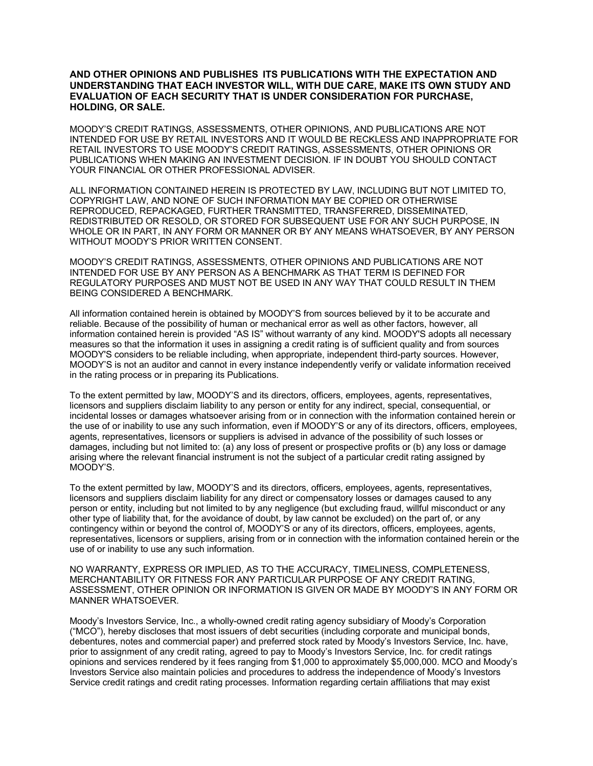## **AND OTHER OPINIONS AND PUBLISHES ITS PUBLICATIONS WITH THE EXPECTATION AND UNDERSTANDING THAT EACH INVESTOR WILL, WITH DUE CARE, MAKE ITS OWN STUDY AND EVALUATION OF EACH SECURITY THAT IS UNDER CONSIDERATION FOR PURCHASE, HOLDING, OR SALE.**

MOODY'S CREDIT RATINGS, ASSESSMENTS, OTHER OPINIONS, AND PUBLICATIONS ARE NOT INTENDED FOR USE BY RETAIL INVESTORS AND IT WOULD BE RECKLESS AND INAPPROPRIATE FOR RETAIL INVESTORS TO USE MOODY'S CREDIT RATINGS, ASSESSMENTS, OTHER OPINIONS OR PUBLICATIONS WHEN MAKING AN INVESTMENT DECISION. IF IN DOUBT YOU SHOULD CONTACT YOUR FINANCIAL OR OTHER PROFESSIONAL ADVISER.

ALL INFORMATION CONTAINED HEREIN IS PROTECTED BY LAW, INCLUDING BUT NOT LIMITED TO, COPYRIGHT LAW, AND NONE OF SUCH INFORMATION MAY BE COPIED OR OTHERWISE REPRODUCED, REPACKAGED, FURTHER TRANSMITTED, TRANSFERRED, DISSEMINATED, REDISTRIBUTED OR RESOLD, OR STORED FOR SUBSEQUENT USE FOR ANY SUCH PURPOSE, IN WHOLE OR IN PART, IN ANY FORM OR MANNER OR BY ANY MEANS WHATSOEVER, BY ANY PERSON WITHOUT MOODY'S PRIOR WRITTEN CONSENT.

MOODY'S CREDIT RATINGS, ASSESSMENTS, OTHER OPINIONS AND PUBLICATIONS ARE NOT INTENDED FOR USE BY ANY PERSON AS A BENCHMARK AS THAT TERM IS DEFINED FOR REGULATORY PURPOSES AND MUST NOT BE USED IN ANY WAY THAT COULD RESULT IN THEM BEING CONSIDERED A BENCHMARK.

All information contained herein is obtained by MOODY'S from sources believed by it to be accurate and reliable. Because of the possibility of human or mechanical error as well as other factors, however, all information contained herein is provided "AS IS" without warranty of any kind. MOODY'S adopts all necessary measures so that the information it uses in assigning a credit rating is of sufficient quality and from sources MOODY'S considers to be reliable including, when appropriate, independent third-party sources. However, MOODY'S is not an auditor and cannot in every instance independently verify or validate information received in the rating process or in preparing its Publications.

To the extent permitted by law, MOODY'S and its directors, officers, employees, agents, representatives, licensors and suppliers disclaim liability to any person or entity for any indirect, special, consequential, or incidental losses or damages whatsoever arising from or in connection with the information contained herein or the use of or inability to use any such information, even if MOODY'S or any of its directors, officers, employees, agents, representatives, licensors or suppliers is advised in advance of the possibility of such losses or damages, including but not limited to: (a) any loss of present or prospective profits or (b) any loss or damage arising where the relevant financial instrument is not the subject of a particular credit rating assigned by MOODY'S.

To the extent permitted by law, MOODY'S and its directors, officers, employees, agents, representatives, licensors and suppliers disclaim liability for any direct or compensatory losses or damages caused to any person or entity, including but not limited to by any negligence (but excluding fraud, willful misconduct or any other type of liability that, for the avoidance of doubt, by law cannot be excluded) on the part of, or any contingency within or beyond the control of, MOODY'S or any of its directors, officers, employees, agents, representatives, licensors or suppliers, arising from or in connection with the information contained herein or the use of or inability to use any such information.

NO WARRANTY, EXPRESS OR IMPLIED, AS TO THE ACCURACY, TIMELINESS, COMPLETENESS, MERCHANTABILITY OR FITNESS FOR ANY PARTICULAR PURPOSE OF ANY CREDIT RATING, ASSESSMENT, OTHER OPINION OR INFORMATION IS GIVEN OR MADE BY MOODY'S IN ANY FORM OR MANNER WHATSOEVER.

Moody's Investors Service, Inc., a wholly-owned credit rating agency subsidiary of Moody's Corporation ("MCO"), hereby discloses that most issuers of debt securities (including corporate and municipal bonds, debentures, notes and commercial paper) and preferred stock rated by Moody's Investors Service, Inc. have, prior to assignment of any credit rating, agreed to pay to Moody's Investors Service, Inc. for credit ratings opinions and services rendered by it fees ranging from \$1,000 to approximately \$5,000,000. MCO and Moody's Investors Service also maintain policies and procedures to address the independence of Moody's Investors Service credit ratings and credit rating processes. Information regarding certain affiliations that may exist